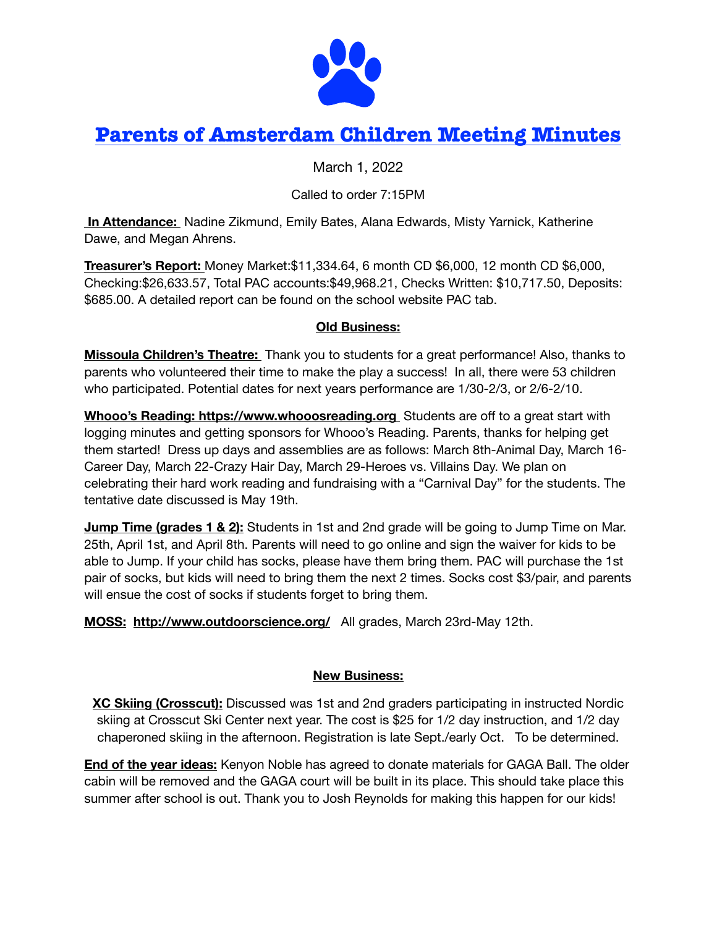

# **Parents of Amsterdam Children Meeting Minutes**

March 1, 2022

## Called to order 7:15PM

 **In Attendance:** Nadine Zikmund, Emily Bates, Alana Edwards, Misty Yarnick, Katherine Dawe, and Megan Ahrens.

**Treasurer's Report:** Money Market:\$11,334.64, 6 month CD \$6,000, 12 month CD \$6,000, Checking:\$26,633.57, Total PAC accounts:\$49,968.21, Checks Written: \$10,717.50, Deposits: \$685.00. A detailed report can be found on the school website PAC tab.

#### **Old Business:**

**Missoula Children's Theatre:** Thank you to students for a great performance! Also, thanks to parents who volunteered their time to make the play a success! In all, there were 53 children who participated. Potential dates for next years performance are 1/30-2/3, or 2/6-2/10.

**Whooo's Reading: <https://www.whooosreading.org>**Students are off to a great start with logging minutes and getting sponsors for Whooo's Reading. Parents, thanks for helping get them started! Dress up days and assemblies are as follows: March 8th-Animal Day, March 16- Career Day, March 22-Crazy Hair Day, March 29-Heroes vs. Villains Day. We plan on celebrating their hard work reading and fundraising with a "Carnival Day" for the students. The tentative date discussed is May 19th.

**Jump Time (grades 1 & 2):** Students in 1st and 2nd grade will be going to Jump Time on Mar. 25th, April 1st, and April 8th. Parents will need to go online and sign the waiver for kids to be able to Jump. If your child has socks, please have them bring them. PAC will purchase the 1st pair of socks, but kids will need to bring them the next 2 times. Socks cost \$3/pair, and parents will ensue the cost of socks if students forget to bring them.

**MOSS: <http://www.outdoorscience.org/>** All grades, March 23rd-May 12th.

## **New Business:**

**XC Skiing (Crosscut):** Discussed was 1st and 2nd graders participating in instructed Nordic skiing at Crosscut Ski Center next year. The cost is \$25 for 1/2 day instruction, and 1/2 day chaperoned skiing in the afternoon. Registration is late Sept./early Oct. To be determined.

**End of the year ideas:** Kenyon Noble has agreed to donate materials for GAGA Ball. The older cabin will be removed and the GAGA court will be built in its place. This should take place this summer after school is out. Thank you to Josh Reynolds for making this happen for our kids!